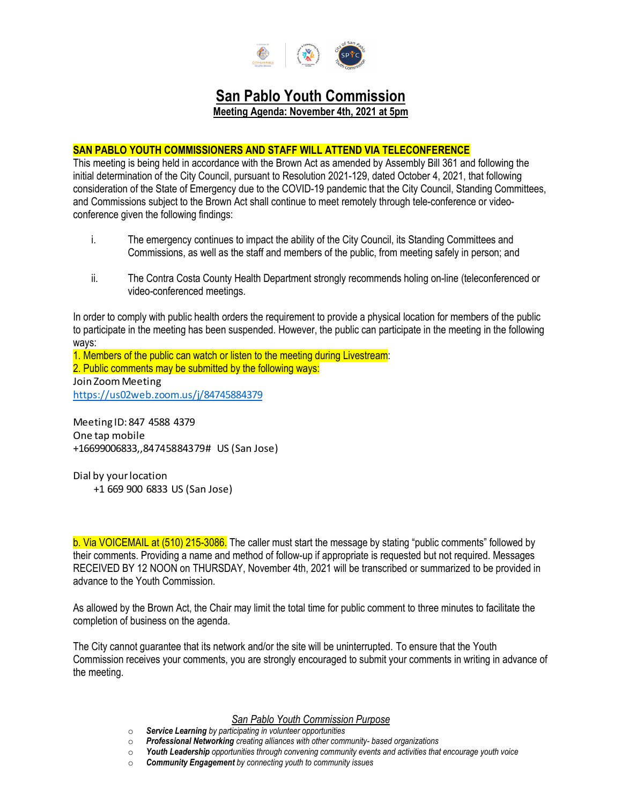

# **San Pablo Youth Commission**

**Meeting Agenda: November 4th, 2021 at 5pm**

# **SAN PABLO YOUTH COMMISSIONERS AND STAFF WILL ATTEND VIA TELECONFERENCE**

This meeting is being held in accordance with the Brown Act as amended by Assembly Bill 361 and following the initial determination of the City Council, pursuant to Resolution 2021-129, dated October 4, 2021, that following consideration of the State of Emergency due to the COVID-19 pandemic that the City Council, Standing Committees, and Commissions subject to the Brown Act shall continue to meet remotely through tele-conference or videoconference given the following findings:

- i. The emergency continues to impact the ability of the City Council, its Standing Committees and Commissions, as well as the staff and members of the public, from meeting safely in person; and
- ii. The Contra Costa County Health Department strongly recommends holing on-line (teleconferenced or video-conferenced meetings.

In order to comply with public health orders the requirement to provide a physical location for members of the public to participate in the meeting has been suspended. However, the public can participate in the meeting in the following ways:

1. Members of the public can watch or listen to the meeting during Livestream: 2. Public comments may be submitted by the following ways: Join Zoom Meeting https://us02web.zoom.us/j/84745884379

Meeting ID: 847 4588 4379 One tap mobile +16699006833,,84745884379# US (San Jose)

Dial by your location +1 669 900 6833 US (San Jose)

b. Via VOICEMAIL at (510) 215-3086. The caller must start the message by stating "public comments" followed by their comments. Providing a name and method of follow-up if appropriate is requested but not required. Messages RECEIVED BY 12 NOON on THURSDAY, November 4th, 2021 will be transcribed or summarized to be provided in advance to the Youth Commission.

As allowed by the Brown Act, the Chair may limit the total time for public comment to three minutes to facilitate the completion of business on the agenda.

The City cannot guarantee that its network and/or the site will be uninterrupted. To ensure that the Youth Commission receives your comments, you are strongly encouraged to submit your comments in writing in advance of the meeting.

## *San Pablo Youth Commission Purpose*

- o *Service Learning by participating in volunteer opportunities*
- o *Professional Networking creating alliances with other community- based organizations*
- o *Youth Leadership opportunities through convening community events and activities that encourage youth voice*
- **Community Engagement** by connecting youth to community issues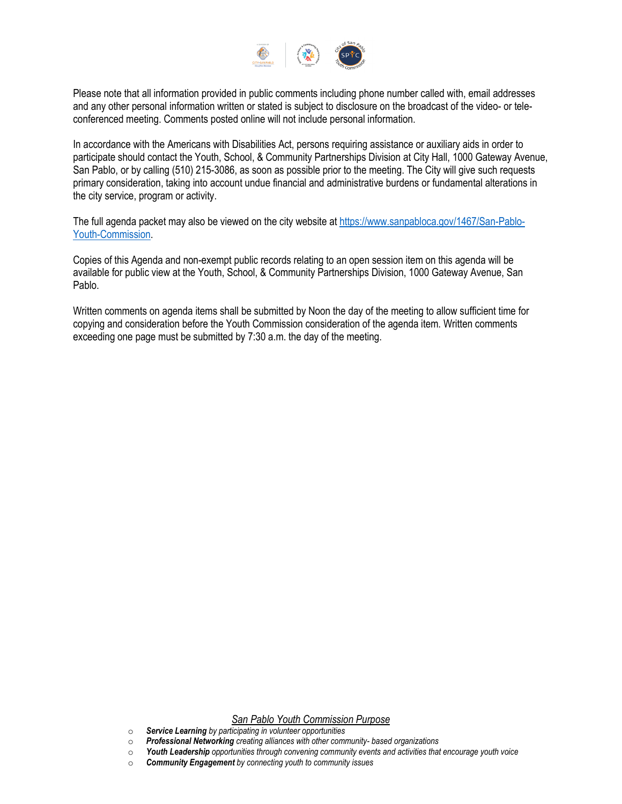

Please note that all information provided in public comments including phone number called with, email addresses and any other personal information written or stated is subject to disclosure on the broadcast of the video- or teleconferenced meeting. Comments posted online will not include personal information.

In accordance with the Americans with Disabilities Act, persons requiring assistance or auxiliary aids in order to participate should contact the Youth, School, & Community Partnerships Division at City Hall, 1000 Gateway Avenue, San Pablo, or by calling (510) 215-3086, as soon as possible prior to the meeting. The City will give such requests primary consideration, taking into account undue financial and administrative burdens or fundamental alterations in the city service, program or activity.

The full agenda packet may also be viewed on the city website at [https://www.sanpabloca.gov/1467/San-Pablo-](https://www.sanpabloca.gov/1467/San-Pablo-Youth-Commission)[Youth-Commission.](https://www.sanpabloca.gov/1467/San-Pablo-Youth-Commission)

Copies of this Agenda and non-exempt public records relating to an open session item on this agenda will be available for public view at the Youth, School, & Community Partnerships Division, 1000 Gateway Avenue, San Pablo.

Written comments on agenda items shall be submitted by Noon the day of the meeting to allow sufficient time for copying and consideration before the Youth Commission consideration of the agenda item. Written comments exceeding one page must be submitted by 7:30 a.m. the day of the meeting.

# *San Pablo Youth Commission Purpose*

- o *Service Learning by participating in volunteer opportunities*
- o *Professional Networking creating alliances with other community- based organizations*
- o *Youth Leadership opportunities through convening community events and activities that encourage youth voice*
- **Community Engagement** by connecting youth to community issues